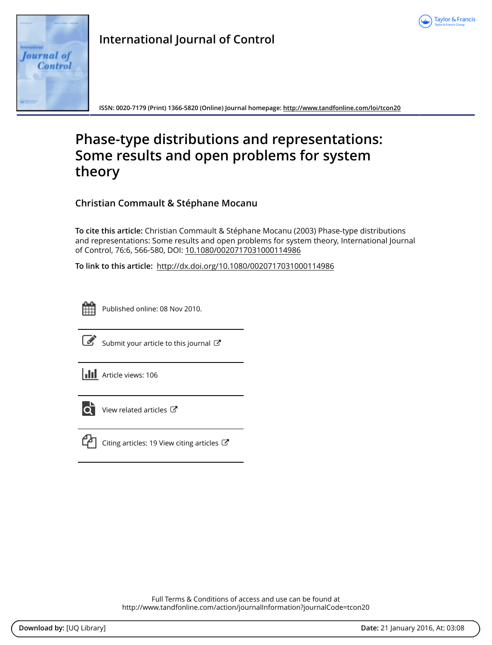



**ISSN: 0020-7179 (Print) 1366-5820 (Online) Journal homepage:<http://www.tandfonline.com/loi/tcon20>**

# **Phase-type distributions and representations: Some results and open problems for system theory**

**Christian Commault & Stéphane Mocanu**

**To cite this article:** Christian Commault & Stéphane Mocanu (2003) Phase-type distributions and representations: Some results and open problems for system theory, International Journal of Control, 76:6, 566-580, DOI: [10.1080/0020717031000114986](http://www.tandfonline.com/action/showCitFormats?doi=10.1080/0020717031000114986)

**To link to this article:** <http://dx.doi.org/10.1080/0020717031000114986>



Published online: 08 Nov 2010.



 $\overline{\mathscr{L}}$  [Submit your article to this journal](http://www.tandfonline.com/action/authorSubmission?journalCode=tcon20&page=instructions)  $\mathbb{Z}$ 



 $\overrightarrow{Q}$  [View related articles](http://www.tandfonline.com/doi/mlt/10.1080/0020717031000114986)  $\overrightarrow{C}$ 



 $\Box$  [Citing articles: 19 View citing articles](http://www.tandfonline.com/doi/citedby/10.1080/0020717031000114986#tabModule)  $\Box$ 

Full Terms & Conditions of access and use can be found at <http://www.tandfonline.com/action/journalInformation?journalCode=tcon20>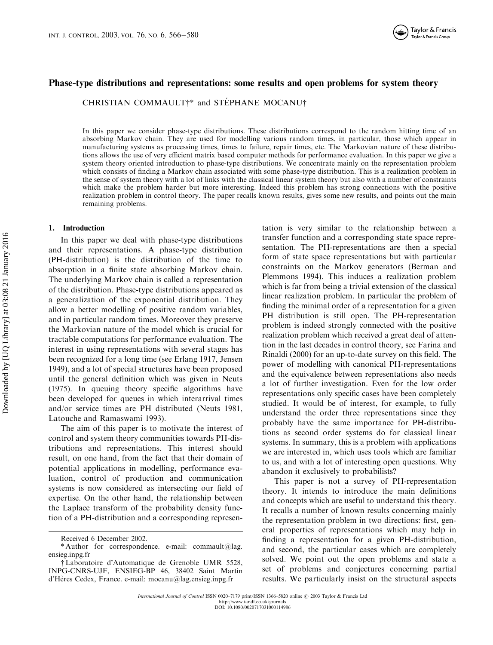# Phase-type distributions and representations: some results and open problems for system theory

CHRISTIAN COMMAULT†\* and STEPHANE MOCANU†

In this paper we consider phase-type distributions. These distributions correspond to the random hitting time of an absorbing Markov chain. They are used for modelling various random times, in particular, those which appear in manufacturing systems as processing times, times to failure, repair times, etc. The Markovian nature of these distributions allows the use of very efficient matrix based computer methods for performance evaluation. In this paper we give a system theory oriented introduction to phase-type distributions. We concentrate mainly on the representation problem which consists of finding a Markov chain associated with some phase-type distribution. This is a realization problem in the sense of system theory with a lot of links with the classical linear system theory but also with a number of constraints which make the problem harder but more interesting. Indeed this problem has strong connections with the positive realization problem in control theory. The paper recalls known results, gives some new results, and points out the main remaining problems.

## 1. Introduction

In this paper we deal with phase-type distributions and their representations. A phase-type distribution (PH-distribution) is the distribution of the time to absorption in a finite state absorbing Markov chain. The underlying Markov chain is called a representation of the distribution. Phase-type distributions appeared as a generalization of the exponential distribution. They allow a better modelling of positive random variables, and in particular random times. Moreover they preserve the Markovian nature of the model which is crucial for tractable computations for performance evaluation. The interest in using representations with several stages has been recognized for a long time (see Erlang 1917, Jensen 1949), and a lot of special structures have been proposed until the general definition which was given in Neuts (1975). In queuing theory specific algorithms have been developed for queues in which interarrival times and/or service times are PH distributed (Neuts 1981, Latouche and Ramaswami 1993).

The aim of this paper is to motivate the interest of control and system theory communities towards PH-distributions and representations. This interest should result, on one hand, from the fact that their domain of potential applications in modelling, performance evaluation, control of production and communication systems is now considered as intersecting our field of expertise. On the other hand, the relationship between the Laplace transform of the probability density function of a PH-distribution and a corresponding represen-

tation is very similar to the relationship between a transfer function and a corresponding state space representation. The PH-representations are then a special form of state space representations but with particular constraints on the Markov generators (Berman and Plemmons 1994). This induces a realization problem which is far from being a trivial extension of the classical linear realization problem. In particular the problem of finding the minimal order of a representation for a given PH distribution is still open. The PH-representation problem is indeed strongly connected with the positive realization problem which received a great deal of attention in the last decades in control theory, see Farina and Rinaldi (2000) for an up-to-date survey on this field. The power of modelling with canonical PH-representations and the equivalence between representations also needs a lot of further investigation. Even for the low order representations only specific cases have been completely studied. It would be of interest, for example, to fully understand the order three representations since they probably have the same importance for PH-distributions as second order systems do for classical linear systems. In summary, this is a problem with applications we are interested in, which uses tools which are familiar to us, and with a lot of interesting open questions. Why abandon it exclusively to probabilists?

This paper is not a survey of PH-representation theory. It intends to introduce the main definitions and concepts which are useful to understand this theory. It recalls a number of known results concerning mainly the representation problem in two directions: first, general properties of representations which may help in finding a representation for a given PH-distribution, and second, the particular cases which are completely solved. We point out the open problems and state a set of problems and conjectures concerning partial results. We particularly insist on the structural aspects

Received 6 December 2002.

<sup>\*</sup> Author for correspondence. e-mail: commault@lag. ensieg.inpg.fr

<sup>{</sup>Laboratoire d'Automatique de Grenoble UMR 5528, INPG-CNRS-UJF, ENSIEG-BP 46, 38402 Saint Martin d'Hères Cedex, France. e-mail: mocanu@lag.ensieg.inpg.fr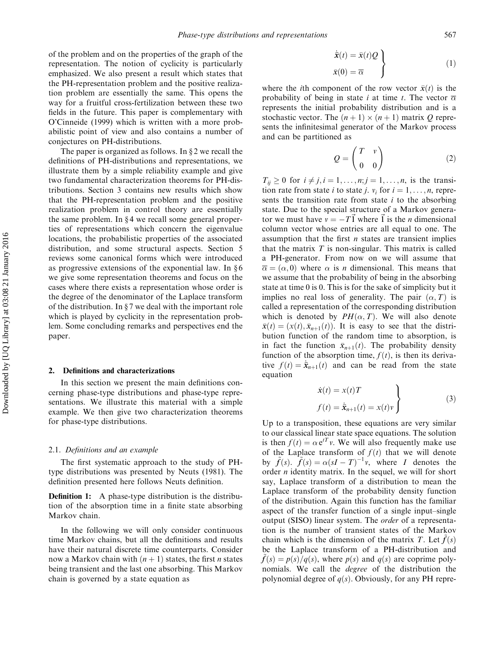of the problem and on the properties of the graph of the representation. The notion of cyclicity is particularly emphasized. We also present a result which states that the PH-representation problem and the positive realization problem are essentially the same. This opens the way for a fruitful cross-fertilization between these two fields in the future. This paper is complementary with O'Cinneide (1999) which is written with a more probabilistic point of view and also contains a number of conjectures on PH-distributions.

The paper is organized as follows. In  $\S 2$  we recall the definitions of PH-distributions and representations, we illustrate them by a simple reliability example and give two fundamental characterization theorems for PH-distributions. Section 3 contains new results which show that the PH-representation problem and the positive realization problem in control theory are essentially the same problem. In §4 we recall some general properties of representations which concern the eigenvalue locations, the probabilistic properties of the associated distribution, and some structural aspects. Section 5 reviews some canonical forms which were introduced as progressive extensions of the exponential law. In  $§ 6$ we give some representation theorems and focus on the cases where there exists a representation whose order is the degree of the denominator of the Laplace transform of the distribution. In  $\S 7$  we deal with the important role which is played by cyclicity in the representation problem. Some concluding remarks and perspectives end the paper.

# 2. Definitions and characterizations

In this section we present the main definitions concerning phase-type distributions and phase-type representations. We illustrate this material with a simple example. We then give two characterization theorems for phase-type distributions.

#### 2.1. Definitions and an example

The first systematic approach to the study of PHtype distributions was presented by Neuts (1981). The definition presented here follows Neuts definition.

**Definition 1:** A phase-type distribution is the distribution of the absorption time in a finite state absorbing Markov chain.

In the following we will only consider continuous time Markov chains, but all the definitions and results have their natural discrete time counterparts. Consider now a Markov chain with  $(n + 1)$  states, the first *n* states being transient and the last one absorbing. This Markov chain is governed by a state equation as

$$
\begin{aligned}\n\dot{\bar{x}}(t) &= \bar{x}(t)Q \\
\bar{x}(0) &= \overline{\alpha}\n\end{aligned}
$$
\n(1)

where the *i*th component of the row vector  $\bar{x}(t)$  is the probability of being in state i at time t. The vector  $\overline{\alpha}$ represents the initial probability distribution and is a stochastic vector. The  $(n + 1) \times (n + 1)$  matrix Q represents the infinitesimal generator of the Markov process and can be partitioned as

$$
Q = \begin{pmatrix} T & v \\ 0 & 0 \end{pmatrix} \tag{2}
$$

 $T_{ii} \ge 0$  for  $i \ne j$ ,  $i = 1, \ldots, n; j = 1, \ldots, n$ , is the transition rate from state *i* to state *j*.  $v_i$  for  $i = 1, \ldots, n$ , represents the transition rate from state  $i$  to the absorbing state. Due to the special structure of a Markov generator we must have  $v = -T\vec{1}$  where  $\vec{1}$  is the *n* dimensional column vector whose entries are all equal to one. The assumption that the first  $n$  states are transient implies that the matrix  $T$  is non-singular. This matrix is called a PH-generator. From now on we will assume that  $\bar{\alpha} = (\alpha, 0)$  where  $\alpha$  is *n* dimensional. This means that we assume that the probability of being in the absorbing state at time 0 is 0. This is for the sake of simplicity but it implies no real loss of generality. The pair  $(\alpha, T)$  is called a representation of the corresponding distribution which is denoted by  $PH(\alpha, T)$ . We will also denote  $\bar{x}(t) = (x(t), \bar{x}_{n+1}(t))$ . It is easy to see that the distribution function of the random time to absorption, is in fact the function  $\bar{x}_{n+1}(t)$ . The probability density function of the absorption time,  $f(t)$ , is then its derivative  $f(t) = \dot{\bar{x}}_{n+1}(t)$  and can be read from the state equation

$$
\dot{x}(t) = x(t)T
$$
  
\n
$$
f(t) = \dot{\bar{x}}_{n+1}(t) = x(t)v
$$
\n(3)

Up to a transposition, these equations are very similar to our classical linear state space equations. The solution is then  $f(t) = \alpha e^{tT} v$ . We will also frequently make use of the Laplace transform of  $f(t)$  that we will denote by  $\tilde{f}(s)$ .  $\tilde{f}(s) = \alpha (sI - T)^{-1}v$ , where I denotes the order n identity matrix. In the sequel, we will for short say, Laplace transform of a distribution to mean the Laplace transform of the probability density function of the distribution. Again this function has the familiar aspect of the transfer function of a single input–single output (SISO) linear system. The order of a representation is the number of transient states of the Markov chain which is the dimension of the matrix T. Let  $f(s)$ be the Laplace transform of a PH-distribution and  $f(s) = p(s)/q(s)$ , where  $p(s)$  and  $q(s)$  are coprime polynomials. We call the *degree* of the distribution the polynomial degree of  $q(s)$ . Obviously, for any PH repre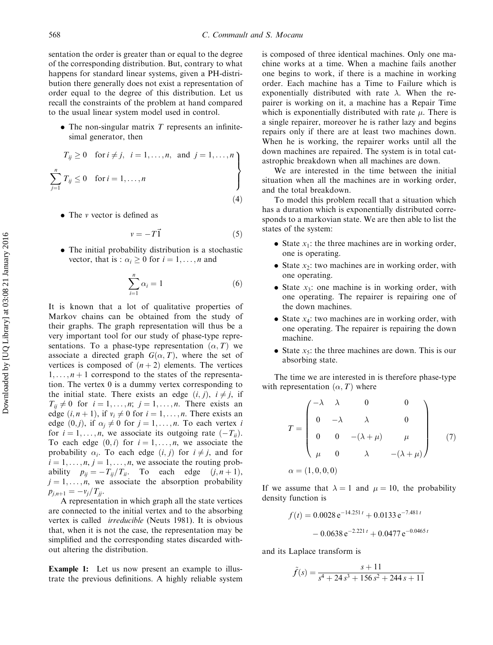sentation the order is greater than or equal to the degree of the corresponding distribution. But, contrary to what happens for standard linear systems, given a PH-distribution there generally does not exist a representation of order equal to the degree of this distribution. Let us recall the constraints of the problem at hand compared to the usual linear system model used in control.

 $\bullet$  The non-singular matrix T represents an infinitesimal generator, then

$$
T_{ij} \ge 0 \quad \text{for } i \ne j, \quad i = 1, \dots, n, \text{ and } j = 1, \dots, n
$$
\n
$$
\sum_{j=1}^{n} T_{ij} \le 0 \quad \text{for } i = 1, \dots, n
$$
\n
$$
(4)
$$

• The *v* vector is defined as

$$
v = -T\vec{1} \tag{5}
$$

. The initial probability distribution is a stochastic vector, that is :  $\alpha_i \geq 0$  for  $i = 1, \ldots, n$  and

$$
\sum_{i=1}^{n} \alpha_i = 1 \tag{6}
$$

It is known that a lot of qualitative properties of Markov chains can be obtained from the study of their graphs. The graph representation will thus be a very important tool for our study of phase-type representations. To a phase-type representation  $(\alpha, T)$  we associate a directed graph  $G(\alpha, T)$ , where the set of vertices is composed of  $(n + 2)$  elements. The vertices  $1, \ldots, n+1$  correspond to the states of the representation. The vertex 0 is a dummy vertex corresponding to the initial state. There exists an edge  $(i, j)$ ,  $i \neq j$ , if  $T_{ii} \neq 0$  for  $i = 1, \ldots, n; j = 1, \ldots, n$ . There exists an edge  $(i, n + 1)$ , if  $v_i \neq 0$  for  $i = 1, \ldots, n$ . There exists an edge  $(0, j)$ , if  $\alpha_i \neq 0$  for  $j = 1, \ldots, n$ . To each vertex i for  $i = 1, \ldots, n$ , we associate its outgoing rate  $(-T_{ii})$ . To each edge  $(0, i)$  for  $i = 1, \ldots, n$ , we associate the probability  $\alpha_i$ . To each edge  $(i, j)$  for  $i \neq j$ , and for  $i = 1, \ldots, n, j = 1, \ldots, n$ , we associate the routing probability  $p_{ij}=-T_{ij}/T_{ii}$ . To each edge  $(j, n+1)$ ,  $j = 1, \ldots, n$ , we associate the absorption probability  $p_{j,n+1} = -\nu_j/T_{jj}.$ 

A representation in which graph all the state vertices are connected to the initial vertex and to the absorbing vertex is called irreducible (Neuts 1981). It is obvious that, when it is not the case, the representation may be simplified and the corresponding states discarded without altering the distribution.

Example 1: Let us now present an example to illustrate the previous definitions. A highly reliable system is composed of three identical machines. Only one machine works at a time. When a machine fails another one begins to work, if there is a machine in working order. Each machine has a Time to Failure which is exponentially distributed with rate  $\lambda$ . When the repairer is working on it, a machine has a Repair Time which is exponentially distributed with rate  $\mu$ . There is a single repairer, moreover he is rather lazy and begins repairs only if there are at least two machines down. When he is working, the repairer works until all the down machines are repaired. The system is in total catastrophic breakdown when all machines are down.

We are interested in the time between the initial situation when all the machines are in working order, and the total breakdown.

To model this problem recall that a situation which has a duration which is exponentially distributed corresponds to a markovian state. We are then able to list the states of the system:

- State  $x_1$ : the three machines are in working order, one is operating.
- State  $x_2$ : two machines are in working order, with one operating.
- State  $x_3$ : one machine is in working order, with one operating. The repairer is repairing one of the down machines.
- State  $x_4$ : two machines are in working order, with one operating. The repairer is repairing the down machine.
- State  $x_5$ : the three machines are down. This is our absorbing state.

The time we are interested in is therefore phase-type with representation  $(\alpha, T)$  where

$$
T = \begin{pmatrix} -\lambda & \lambda & 0 & 0 \\ 0 & -\lambda & \lambda & 0 \\ 0 & 0 & -(\lambda + \mu) & \mu \\ \mu & 0 & \lambda & -(\lambda + \mu) \end{pmatrix}
$$
 (7)  

$$
\alpha = (1, 0, 0, 0)
$$

If we assume that  $\lambda = 1$  and  $\mu = 10$ , the probability density function is

$$
f(t) = 0.0028 e^{-14.251 t} + 0.0133 e^{-7.481 t}
$$

$$
- 0.0638 e^{-2.221 t} + 0.0477 e^{-0.0465 t}
$$

and its Laplace transform is

$$
\tilde{f}(s) = \frac{s+11}{s^4 + 24s^3 + 156s^2 + 244s + 11}
$$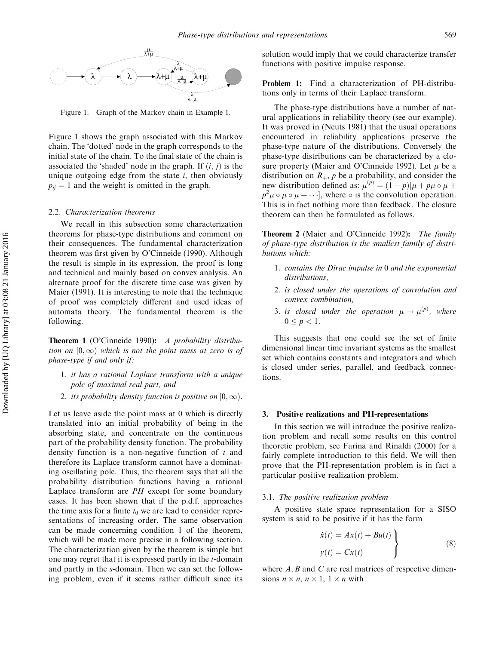

Figure 1. Graph of the Markov chain in Example 1.

Figure 1 shows the graph associated with this Markov chain. The 'dotted' node in the graph corresponds to the initial state of the chain. To the final state of the chain is associated the 'shaded' node in the graph. If  $(i, j)$  is the unique outgoing edge from the state  $i$ , then obviously  $p_{ii} = 1$  and the weight is omitted in the graph.

#### 2.2. Characterization theorems

We recall in this subsection some characterization theorems for phase-type distributions and comment on their consequences. The fundamental characterization theorem was first given by O'Cinneide (1990). Although the result is simple in its expression, the proof is long and technical and mainly based on convex analysis. An alternate proof for the discrete time case was given by Maier (1991). It is interesting to note that the technique of proof was completely different and used ideas of automata theory. The fundamental theorem is the following.

Theorem 1 (O'Cinneide 1990): A probability distribution on  $[0,\infty)$  which is not the point mass at zero is of phase-type if and only if:

- 1. it has a rational Laplace transform with a unique pole of maximal real part, and
- 2. its probability density function is positive on  $[0, \infty)$ .

Let us leave aside the point mass at 0 which is directly translated into an initial probability of being in the absorbing state, and concentrate on the continuous part of the probability density function. The probability density function is a non-negative function of  $t$  and therefore its Laplace transform cannot have a dominating oscillating pole. Thus, the theorem says that all the probability distribution functions having a rational Laplace transform are PH except for some boundary cases. It has been shown that if the p.d.f. approaches the time axis for a finite  $t_0$  we are lead to consider representations of increasing order. The same observation can be made concerning condition 1 of the theorem, which will be made more precise in a following section. The characterization given by the theorem is simple but one may regret that it is expressed partly in the t-domain and partly in the s-domain. Then we can set the following problem, even if it seems rather difficult since its solution would imply that we could characterize transfer functions with positive impulse response.

Problem 1: Find a characterization of PH-distributions only in terms of their Laplace transform.

The phase-type distributions have a number of natural applications in reliability theory (see our example). It was proved in (Neuts 1981) that the usual operations encountered in reliability applications preserve the phase-type nature of the distributions. Conversely the phase-type distributions can be characterized by a closure property (Maier and O'Cinneide 1992). Let  $\mu$  be a distribution on  $R_+$ , p be a probability, and consider the new distribution defined as:  $\mu^{(p)} = (1 - p)[\mu + p\mu \circ \mu +$  $p^2 \mu \circ \mu \circ \mu + \cdots$ , where  $\circ$  is the convolution operation. This is in fact nothing more than feedback. The closure theorem can then be formulated as follows.

Theorem 2 (Maier and O'Cinneide 1992): The family of phase-type distribution is the smallest family of distributions which:

- 1. contains the Dirac impulse in 0 and the exponential distributions,
- 2. is closed under the operations of convolution and convex combination,
- 3. is closed under the operation  $\mu \rightarrow \mu^{(p)}$ , where  $0 \le p < 1$ .

This suggests that one could see the set of finite dimensional linear time invariant systems as the smallest set which contains constants and integrators and which is closed under series, parallel, and feedback connections.

## 3. Positive realizations and PH-representations

In this section we will introduce the positive realization problem and recall some results on this control theoretic problem, see Farina and Rinaldi (2000) for a fairly complete introduction to this field. We will then prove that the PH-representation problem is in fact a particular positive realization problem.

#### 3.1. The positive realization problem

A positive state space representation for a SISO system is said to be positive if it has the form

$$
\dot{x}(t) = Ax(t) + Bu(t) \n y(t) = Cx(t)
$$
\n(8)

where  $A, B$  and  $C$  are real matrices of respective dimensions  $n \times n$ ,  $n \times 1$ ,  $1 \times n$  with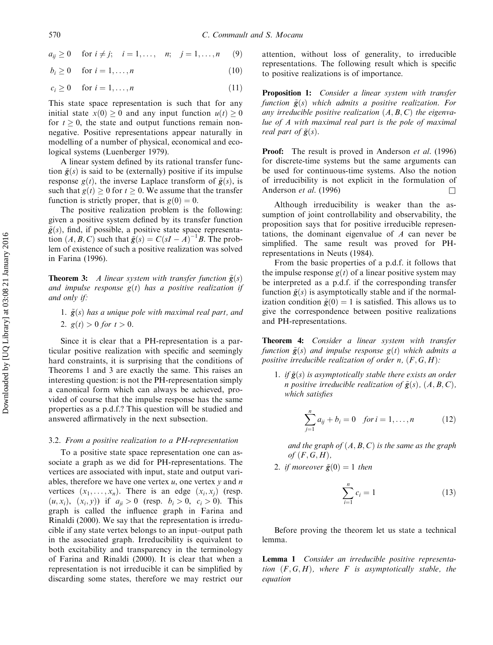$$
a_{ij} \ge 0
$$
 for  $i \ne j$ ;  $i = 1,..., n$ ;  $j = 1,...,n$  (9)

$$
b_i \ge 0 \quad \text{ for } i = 1, \dots, n \tag{10}
$$

$$
c_i \ge 0 \quad \text{ for } i = 1, \dots, n \tag{11}
$$

This state space representation is such that for any initial state  $x(0) \geq 0$  and any input function  $u(t) \geq 0$ for  $t \geq 0$ , the state and output functions remain nonnegative. Positive representations appear naturally in modelling of a number of physical, economical and ecological systems (Luenberger 1979).

A linear system defined by its rational transfer function  $\tilde{g}(s)$  is said to be (externally) positive if its impulse response  $g(t)$ , the inverse Laplace transform of  $\tilde{g}(s)$ , is such that  $g(t) > 0$  for  $t > 0$ . We assume that the transfer function is strictly proper, that is  $g(0) = 0$ .

The positive realization problem is the following: given a positive system defined by its transfer function  $\tilde{\mathbf{g}}(s)$ , find, if possible, a positive state space representation  $(A, B, C)$  such that  $\tilde{g}(s) = C(sI - A)^{-1}B$ . The problem of existence of such a positive realization was solved in Farina (1996).

**Theorem 3:** A linear system with transfer function  $\tilde{g}(s)$ and impulse response  $g(t)$  has a positive realization if and only if:

1.  $\tilde{g}(s)$  has a unique pole with maximal real part, and 2.  $g(t) > 0$  for  $t > 0$ .

Since it is clear that a PH-representation is a particular positive realization with specific and seemingly hard constraints, it is surprising that the conditions of Theorems 1 and 3 are exactly the same. This raises an interesting question: is not the PH-representation simply a canonical form which can always be achieved, provided of course that the impulse response has the same properties as a p.d.f.? This question will be studied and answered affirmatively in the next subsection.

#### 3.2. From a positive realization to a PH-representation

To a positive state space representation one can associate a graph as we did for PH-representations. The vertices are associated with input, state and output variables, therefore we have one vertex  $u$ , one vertex  $v$  and  $n$ vertices  $(x_1, \ldots, x_n)$ . There is an edge  $(x_i, x_j)$  (resp.  $(u, x_i), (x_i, y)$  if  $a_{ii} > 0$  (resp.  $b_i > 0, c_i > 0$ ). This graph is called the influence graph in Farina and Rinaldi (2000). We say that the representation is irreducible if any state vertex belongs to an input–output path in the associated graph. Irreducibility is equivalent to both excitability and transparency in the terminology of Farina and Rinaldi (2000). It is clear that when a representation is not irreducible it can be simplified by discarding some states, therefore we may restrict our attention, without loss of generality, to irreducible representations. The following result which is specific to positive realizations is of importance.

Proposition 1: Consider a linear system with transfer function  $\tilde{g}(s)$  which admits a positive realization. For any irreducible positive realization  $(A, B, C)$  the eigenvalue of A with maximal real part is the pole of maximal real part of  $\tilde{g}(s)$ .

**Proof:** The result is proved in Anderson *et al.* (1996) for discrete-time systems but the same arguments can be used for continuous-time systems. Also the notion of irreducibility is not explicit in the formulation of Anderson *et al.* (1996)  $\Box$ 

Although irreducibility is weaker than the assumption of joint controllability and observability, the proposition says that for positive irreducible representations, the dominant eigenvalue of A can never be simplified. The same result was proved for PHrepresentations in Neuts (1984).

From the basic properties of a p.d.f. it follows that the impulse response  $g(t)$  of a linear positive system may be interpreted as a p.d.f. if the corresponding transfer function  $\tilde{\mathbf{g}}(s)$  is asymptotically stable and if the normalization condition  $\tilde{g}(0) = 1$  is satisfied. This allows us to give the correspondence between positive realizations and PH-representations.

Theorem 4: Consider a linear system with transfer function  $\tilde{g}(s)$  and impulse response  $g(t)$  which admits a positive irreducible realization of order n,  $(F, G, H)$ :

1. if  $\tilde{g}(s)$  is asymptotically stable there exists an order n positive irreducible realization of  $\tilde{g}(s)$ ,  $(A, B, C)$ , which satisfies

$$
\sum_{j=1}^{n} a_{ij} + b_i = 0 \quad \text{for } i = 1, \dots, n \tag{12}
$$

and the graph of  $(A, B, C)$  is the same as the graph of  $(F, G, H)$ ,

2. if moreover  $\tilde{g}(0) = 1$  then

$$
\sum_{i=1}^{n} c_i = 1
$$
 (13)

Before proving the theorem let us state a technical lemma.

Lemma 1 Consider an irreducible positive representation  $(F, G, H)$ , where F is asymptotically stable, the equation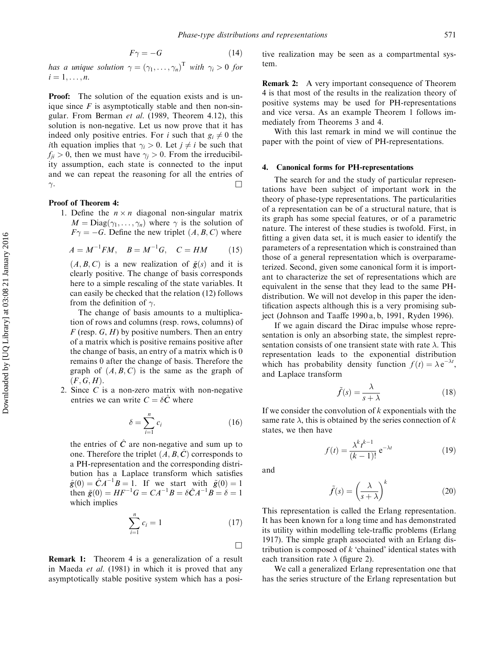$$
F\gamma = -G\tag{14}
$$

has a unique solution  $\gamma = (\gamma_1, \ldots, \gamma_n)^T$  with  $\gamma_i > 0$  for  $i = 1, \ldots, n$ .

**Proof:** The solution of the equation exists and is unique since  $F$  is asymptotically stable and then non-singular. From Berman et al. (1989, Theorem 4.12), this solution is non-negative. Let us now prove that it has indeed only positive entries. For *i* such that  $g_i \neq 0$  the *i*th equation implies that  $\gamma_i > 0$ . Let  $j \neq i$  be such that  $f_{ji} > 0$ , then we must have  $\gamma_j > 0$ . From the irreducibility assumption, each state is connected to the input and we can repeat the reasoning for all the entries of  $\gamma$ . . The contract of the contract of the contract of the contract of  $\Box$ 

## Proof of Theorem 4:

1. Define the  $n \times n$  diagonal non-singular matrix  $M = \text{Diag}(\gamma_1, \dots, \gamma_n)$  where  $\gamma$  is the solution of  $F\gamma = -G$ . Define the new triplet  $(A, B, C)$  where

$$
A = M^{-1}FM, \quad B = M^{-1}G, \quad C = HM \tag{15}
$$

 $(A, B, C)$  is a new realization of  $\tilde{g}(s)$  and it is clearly positive. The change of basis corresponds here to a simple rescaling of the state variables. It can easily be checked that the relation (12) follows from the definition of  $\gamma$ .

The change of basis amounts to a multiplication of rows and columns (resp. rows, columns) of  $F$  (resp.  $G$ ,  $H$ ) by positive numbers. Then an entry of a matrix which is positive remains positive after the change of basis, an entry of a matrix which is 0 remains 0 after the change of basis. Therefore the graph of  $(A, B, C)$  is the same as the graph of  $(F, G, H)$ .

2. Since C is a non-zero matrix with non-negative entries we can write  $C = \delta \hat{C}$  where

$$
\delta = \sum_{i=1}^{n} c_i \tag{16}
$$

the entries of  $\hat{C}$  are non-negative and sum up to one. Therefore the triplet  $(A, B, \hat{C})$  corresponds to a PH-representation and the corresponding distribution has a Laplace transform which satisfies  $\hat{g}(0) = \hat{C}A^{-1}B = 1$ . If we start with  $\tilde{g}(0) = 1$ then  $\tilde{g}(0) = HF^{-1}G = CA^{-1}B = \delta \hat{C}A^{-1}B = \delta = 1$ which implies

$$
\sum_{i=1}^{n} c_i = 1 \tag{17}
$$

Remark 1: Theorem 4 is a generalization of a result in Maeda et al. (1981) in which it is proved that any asymptotically stable positive system which has a positive realization may be seen as a compartmental system.

**Remark 2:** A very important consequence of Theorem 4 is that most of the results in the realization theory of positive systems may be used for PH-representations and vice versa. As an example Theorem 1 follows immediately from Theorems 3 and 4.

With this last remark in mind we will continue the paper with the point of view of PH-representations.

## 4. Canonical forms for PH-representations

The search for and the study of particular representations have been subject of important work in the theory of phase-type representations. The particularities of a representation can be of a structural nature, that is its graph has some special features, or of a parametric nature. The interest of these studies is twofold. First, in fitting a given data set, it is much easier to identify the parameters of a representation which is constrained than those of a general representation which is overparameterized. Second, given some canonical form it is important to characterize the set of representations which are equivalent in the sense that they lead to the same PHdistribution. We will not develop in this paper the identification aspects although this is a very promising subject (Johnson and Taaffe 1990 a, b, 1991, Ryden 1996).

If we again discard the Dirac impulse whose representation is only an absorbing state, the simplest representation consists of one transient state with rate  $\lambda$ . This representation leads to the exponential distribution which has probability density function  $f(t) = \lambda e^{-\lambda t}$ , and Laplace transform

$$
\tilde{f}(s) = \frac{\lambda}{s + \lambda} \tag{18}
$$

If we consider the convolution of  $k$  exponentials with the same rate  $\lambda$ , this is obtained by the series connection of k states, we then have

$$
f(t) = \frac{\lambda^k t^{k-1}}{(k-1)!} e^{-\lambda t}
$$
\n(19)

and

 $\Box$ 

$$
\tilde{f}(s) = \left(\frac{\lambda}{s+\lambda}\right)^k \tag{20}
$$

This representation is called the Erlang representation. It has been known for a long time and has demonstrated its utility within modelling tele-traffic problems (Erlang 1917). The simple graph associated with an Erlang distribution is composed of  $k$  'chained' identical states with each transition rate  $\lambda$  (figure 2).

We call a generalized Erlang representation one that has the series structure of the Erlang representation but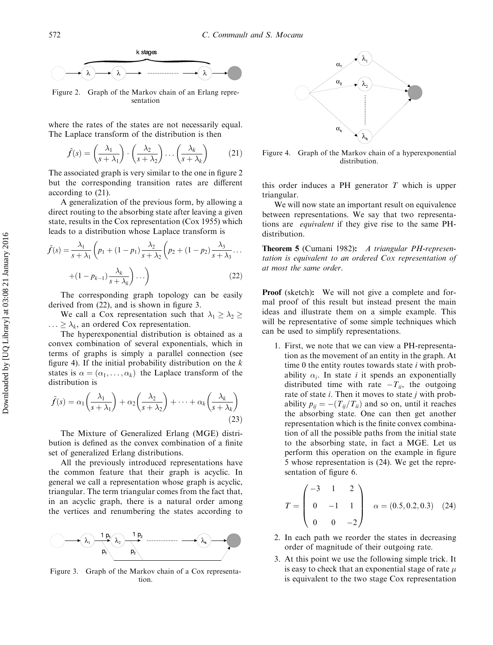

Figure 2. Graph of the Markov chain of an Erlang representation

where the rates of the states are not necessarily equal. The Laplace transform of the distribution is then

$$
\tilde{f}(s) = \left(\frac{\lambda_1}{s + \lambda_1}\right) \cdot \left(\frac{\lambda_2}{s + \lambda_2}\right) \dots \left(\frac{\lambda_k}{s + \lambda_k}\right) \tag{21}
$$

The associated graph is very similar to the one in figure 2 but the corresponding transition rates are different according to (21).

A generalization of the previous form, by allowing a direct routing to the absorbing state after leaving a given state, results in the Cox representation (Cox 1955) which leads to a distribution whose Laplace transform is

$$
\tilde{f}(s) = \frac{\lambda_1}{s + \lambda_1} \left( p_1 + (1 - p_1) \frac{\lambda_2}{s + \lambda_2} \left( p_2 + (1 - p_2) \frac{\lambda_3}{s + \lambda_3} \cdots + (1 - p_{k-1}) \frac{\lambda_k}{s + \lambda_k} \right) \cdots \right)
$$
\n(22)

The corresponding graph topology can be easily derived from (22), and is shown in figure 3.

We call a Cox representation such that  $\lambda_1 \geq \lambda_2 \geq$  $\ldots \geq \lambda_k$ , an ordered Cox representation.

The hyperexponential distribution is obtained as a convex combination of several exponentials, which in terms of graphs is simply a parallel connection (see figure 4). If the initial probability distribution on the  $k$ states is  $\alpha = (\alpha_1, \ldots, \alpha_k)$  the Laplace transform of the distribution is

$$
\tilde{f}(s) = \alpha_1 \left(\frac{\lambda_1}{s + \lambda_1}\right) + \alpha_2 \left(\frac{\lambda_2}{s + \lambda_2}\right) + \dots + \alpha_k \left(\frac{\lambda_k}{s + \lambda_k}\right)
$$
\n(23)

The Mixture of Generalized Erlang (MGE) distribution is defined as the convex combination of a finite set of generalized Erlang distributions.

All the previously introduced representations have the common feature that their graph is acyclic. In general we call a representation whose graph is acyclic, triangular. The term triangular comes from the fact that, in an acyclic graph, there is a natural order among the vertices and renumbering the states according to



Figure 3. Graph of the Markov chain of a Cox representation.



Figure 4. Graph of the Markov chain of a hyperexponential distribution.

this order induces a PH generator  $T$  which is upper triangular.

We will now state an important result on equivalence between representations. We say that two representations are equivalent if they give rise to the same PHdistribution.

Theorem 5 (Cumani 1982): A triangular PH-representation is equivalent to an ordered Cox representation of at most the same order.

Proof (sketch): We will not give a complete and formal proof of this result but instead present the main ideas and illustrate them on a simple example. This will be representative of some simple techniques which can be used to simplify representations.

1. First, we note that we can view a PH-representation as the movement of an entity in the graph. At time 0 the entity routes towards state  $i$  with probability  $\alpha_i$ . In state i it spends an exponentially distributed time with rate  $-T_{ii}$ , the outgoing rate of state  $i$ . Then it moves to state  $j$  with probability  $p_{ii} = -\left(\frac{T_{ii}}{T_{ii}}\right)$  and so on, until it reaches the absorbing state. One can then get another representation which is the finite convex combination of all the possible paths from the initial state to the absorbing state, in fact a MGE. Let us perform this operation on the example in figure 5 whose representation is (24). We get the representation of figure 6.

$$
T = \begin{pmatrix} -3 & 1 & 2 \\ 0 & -1 & 1 \\ 0 & 0 & -2 \end{pmatrix} \quad \alpha = (0.5, 0.2, 0.3) \quad (24)
$$

- 2. In each path we reorder the states in decreasing order of magnitude of their outgoing rate.
- 3. At this point we use the following simple trick. It is easy to check that an exponential stage of rate  $\mu$ is equivalent to the two stage Cox representation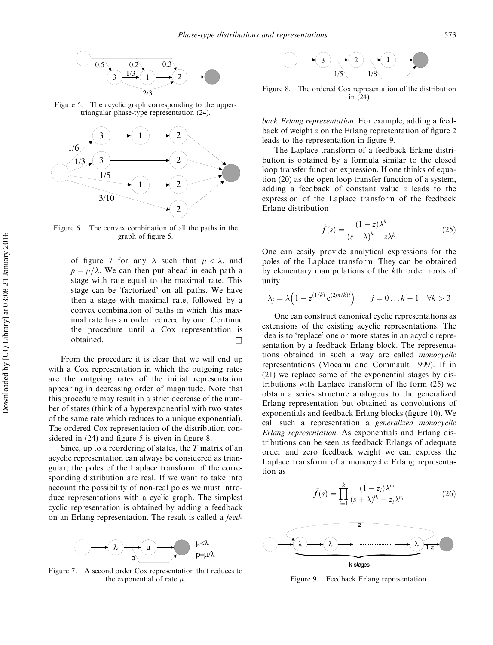

Figure 5. The acyclic graph corresponding to the uppertriangular phase-type representation (24).



Figure 6. The convex combination of all the paths in the graph of figure 5.

of figure 7 for any  $\lambda$  such that  $\mu < \lambda$ , and  $p = \mu/\lambda$ . We can then put ahead in each path a stage with rate equal to the maximal rate. This stage can be 'factorized' on all paths. We have then a stage with maximal rate, followed by a convex combination of paths in which this maximal rate has an order reduced by one. Continue the procedure until a Cox representation is obtained.  $\Box$ 

From the procedure it is clear that we will end up with a Cox representation in which the outgoing rates are the outgoing rates of the initial representation appearing in decreasing order of magnitude. Note that this procedure may result in a strict decrease of the number of states (think of a hyperexponential with two states of the same rate which reduces to a unique exponential). The ordered Cox representation of the distribution considered in  $(24)$  and figure 5 is given in figure 8.

Since, up to a reordering of states, the  $T$  matrix of an acyclic representation can always be considered as triangular, the poles of the Laplace transform of the corresponding distribution are real. If we want to take into account the possibility of non-real poles we must introduce representations with a cyclic graph. The simplest cyclic representation is obtained by adding a feedback on an Erlang representation. The result is called a feed-



Figure 7. A second order Cox representation that reduces to the exponential of rate  $\mu$ .



Figure 8. The ordered Cox representation of the distribution in (24)

back Erlang representation. For example, adding a feedback of weight z on the Erlang representation of figure 2 leads to the representation in figure 9.

The Laplace transform of a feedback Erlang distribution is obtained by a formula similar to the closed loop transfer function expression. If one thinks of equation (20) as the open loop transfer function of a system, adding a feedback of constant value z leads to the expression of the Laplace transform of the feedback Erlang distribution

$$
\tilde{f}(s) = \frac{(1-z)\lambda^k}{(s+\lambda)^k - z\lambda^k} \tag{25}
$$

One can easily provide analytical expressions for the poles of the Laplace transform. They can be obtained by elementary manipulations of the kth order roots of unity

$$
\lambda_j = \lambda \left( 1 - z^{(1/k)} e^{(2j\pi/k)i} \right) \qquad j = 0 \dots k - 1 \quad \forall k > 3
$$

One can construct canonical cyclic representations as extensions of the existing acyclic representations. The idea is to 'replace' one or more states in an acyclic representation by a feedback Erlang block. The representations obtained in such a way are called monocyclic representations (Mocanu and Commault 1999). If in (21) we replace some of the exponential stages by distributions with Laplace transform of the form (25) we obtain a series structure analogous to the generalized Erlang representation but obtained as convolutions of exponentials and feedback Erlang blocks (figure 10). We call such a representation a generalized monocyclic Erlang representation. As exponentials and Erlang distributions can be seen as feedback Erlangs of adequate order and zero feedback weight we can express the Laplace transform of a monocyclic Erlang representation as

$$
\tilde{f}(s) = \prod_{i=1}^{k} \frac{(1 - z_i)\lambda^{n_i}}{(s + \lambda)^{n_i} - z_i\lambda^{n_i}}
$$
\n(26)



Figure 9. Feedback Erlang representation.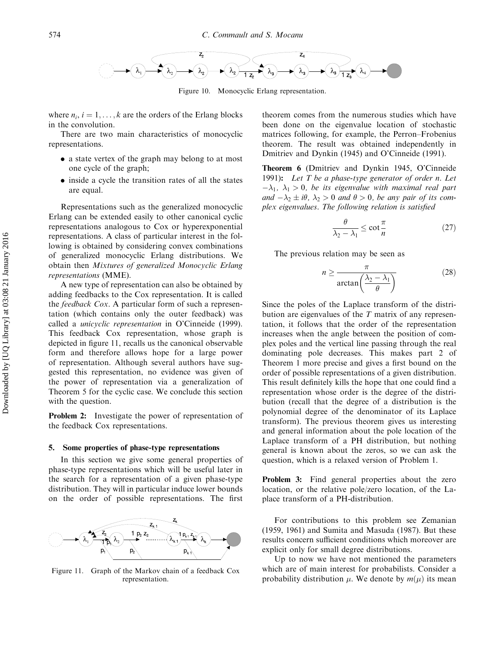

Figure 10. Monocyclic Erlang representation.

where  $n_i$ ,  $i = 1, \ldots, k$  are the orders of the Erlang blocks in the convolution.

There are two main characteristics of monocyclic representations.

- . a state vertex of the graph may belong to at most one cycle of the graph;
- inside a cycle the transition rates of all the states are equal.

Representations such as the generalized monocyclic Erlang can be extended easily to other canonical cyclic representations analogous to Cox or hyperexponential representations. A class of particular interest in the following is obtained by considering convex combinations of generalized monocyclic Erlang distributions. We obtain then Mixtures of generalized Monocyclic Erlang representations (MME).

A new type of representation can also be obtained by adding feedbacks to the Cox representation. It is called the feedback Cox. A particular form of such a representation (which contains only the outer feedback) was called a unicyclic representation in O'Cinneide (1999). This feedback Cox representation, whose graph is depicted in figure 11, recalls us the canonical observable form and therefore allows hope for a large power of representation. Although several authors have suggested this representation, no evidence was given of the power of representation via a generalization of Theorem 5 for the cyclic case. We conclude this section with the question.

Problem 2: Investigate the power of representation of the feedback Cox representations.

#### 5. Some properties of phase-type representations

In this section we give some general properties of phase-type representations which will be useful later in the search for a representation of a given phase-type distribution. They will in particular induce lower bounds on the order of possible representations. The first



Figure 11. Graph of the Markov chain of a feedback Cox representation.

theorem comes from the numerous studies which have been done on the eigenvalue location of stochastic matrices following, for example, the Perron–Frobenius theorem. The result was obtained independently in Dmitriev and Dynkin (1945) and O'Cinneide (1991).

Theorem 6 (Dmitriev and Dynkin 1945, O'Cinneide 1991): Let  $T$  be a phase-type generator of order n. Let  $-\lambda_1$ ,  $\lambda_1 > 0$ , be its eigenvalue with maximal real part and  $-\lambda_2 \pm i\theta$ ,  $\lambda_2 > 0$  and  $\theta > 0$ , be any pair of its complex eigenvalues. The following relation is satisfied

$$
\frac{\theta}{\lambda_2 - \lambda_1} \le \cot \frac{\pi}{n} \tag{27}
$$

The previous relation may be seen as

$$
n \ge \frac{\pi}{\arctan\left(\frac{\lambda_2 - \lambda_1}{\theta}\right)}\tag{28}
$$

Since the poles of the Laplace transform of the distribution are eigenvalues of the  $T$  matrix of any representation, it follows that the order of the representation increases when the angle between the position of complex poles and the vertical line passing through the real dominating pole decreases. This makes part 2 of Theorem 1 more precise and gives a first bound on the order of possible representations of a given distribution. This result definitely kills the hope that one could find a representation whose order is the degree of the distribution (recall that the degree of a distribution is the polynomial degree of the denominator of its Laplace transform). The previous theorem gives us interesting and general information about the pole location of the Laplace transform of a PH distribution, but nothing general is known about the zeros, so we can ask the question, which is a relaxed version of Problem 1.

Problem 3: Find general properties about the zero location, or the relative pole/zero location, of the Laplace transform of a PH-distribution.

For contributions to this problem see Zemanian (1959, 1961) and Sumita and Masuda (1987). But these results concern sufficient conditions which moreover are explicit only for small degree distributions.

Up to now we have not mentioned the parameters which are of main interest for probabilists. Consider a probability distribution  $\mu$ . We denote by  $m(\mu)$  its mean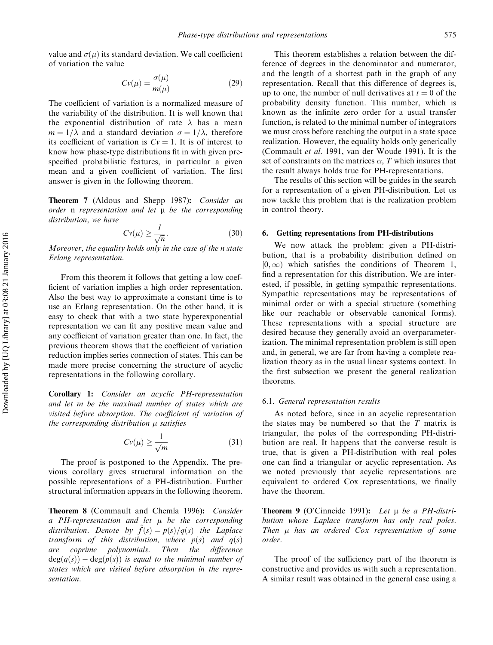value and  $\sigma(\mu)$  its standard deviation. We call coefficient of variation the value

$$
Cv(\mu) = \frac{\sigma(\mu)}{m(\mu)}\tag{29}
$$

The coefficient of variation is a normalized measure of the variability of the distribution. It is well known that the exponential distribution of rate  $\lambda$  has a mean  $m = 1/\lambda$  and a standard deviation  $\sigma = 1/\lambda$ , therefore its coefficient of variation is  $Cv = 1$ . It is of interest to know how phase-type distributions fit in with given prespecified probabilistic features, in particular a given mean and a given coefficient of variation. The first answer is given in the following theorem.

Theorem 7 (Aldous and Shepp 1987): Consider an order  $n$  representation and let  $\mu$  be the corresponding distribution, we have

$$
Cv(\mu) \ge \frac{1}{\sqrt{n}}.\tag{30}
$$

Moreover, the equality holds only in the case of the n state Erlang representation.

From this theorem it follows that getting a low coefficient of variation implies a high order representation. Also the best way to approximate a constant time is to use an Erlang representation. On the other hand, it is easy to check that with a two state hyperexponential representation we can fit any positive mean value and any coefficient of variation greater than one. In fact, the previous theorem shows that the coefficient of variation reduction implies series connection of states. This can be made more precise concerning the structure of acyclic representations in the following corollary.

Corollary 1: Consider an acyclic PH-representation and let m be the maximal number of states which are visited before absorption. The coefficient of variation of the corresponding distribution  $\mu$  satisfies

$$
Cv(\mu) \ge \frac{1}{\sqrt{m}}\tag{31}
$$

The proof is postponed to the Appendix. The previous corollary gives structural information on the possible representations of a PH-distribution. Further structural information appears in the following theorem.

Theorem 8 (Commault and Chemla 1996): Consider a PH-representation and let  $\mu$  be the corresponding distribution. Denote by  $f(s) = p(s)/q(s)$  the Laplace transform of this distribution, where  $p(s)$  and  $q(s)$ are coprime polynomials. Then the difference  $deg(q(s)) - deg(p(s))$  is equal to the minimal number of states which are visited before absorption in the representation.

This theorem establishes a relation between the difference of degrees in the denominator and numerator, and the length of a shortest path in the graph of any representation. Recall that this difference of degrees is, up to one, the number of null derivatives at  $t = 0$  of the probability density function. This number, which is known as the infinite zero order for a usual transfer function, is related to the minimal number of integrators we must cross before reaching the output in a state space realization. However, the equality holds only generically (Commault et al. 1991, van der Woude 1991). It is the set of constraints on the matrices  $\alpha$ , T which insures that the result always holds true for PH-representations.

The results of this section will be guides in the search for a representation of a given PH-distribution. Let us now tackle this problem that is the realization problem in control theory.

## 6. Getting representations from PH-distributions

We now attack the problem: given a PH-distribution, that is a probability distribution defined on  $[0, \infty)$  which satisfies the conditions of Theorem 1, find a representation for this distribution. We are interested, if possible, in getting sympathic representations. Sympathic representations may be representations of minimal order or with a special structure (something like our reachable or observable canonical forms). These representations with a special structure are desired because they generally avoid an overparameterization. The minimal representation problem is still open and, in general, we are far from having a complete realization theory as in the usual linear systems context. In the first subsection we present the general realization theorems.

## 6.1. General representation results

As noted before, since in an acyclic representation the states may be numbered so that the  $T$  matrix is triangular, the poles of the corresponding PH-distribution are real. It happens that the converse result is true, that is given a PH-distribution with real poles one can find a triangular or acyclic representation. As we noted previously that acyclic representations are equivalent to ordered Cox representations, we finally have the theorem.

Theorem 9 (O'Cinneide 1991): Let  $\mu$  be a PH-distribution whose Laplace transform has only real poles. Then  $\mu$  has an ordered Cox representation of some order.

The proof of the sufficiency part of the theorem is constructive and provides us with such a representation. A similar result was obtained in the general case using a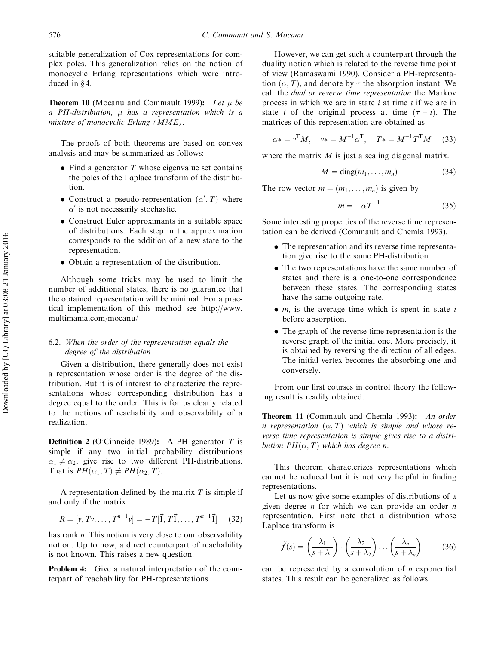suitable generalization of Cox representations for complex poles. This generalization relies on the notion of monocyclic Erlang representations which were introduced in  $§$ 4.

**Theorem 10** (Mocanu and Commault 1999): Let  $\mu$  be a PH-distribution,  $\mu$  has a representation which is a mixture of monocyclic Erlang (MME).

The proofs of both theorems are based on convex analysis and may be summarized as follows:

- $\bullet$  Find a generator T whose eigenvalue set contains the poles of the Laplace transform of the distribution.
- Construct a pseudo-representation  $(\alpha', T)$  where  $\alpha'$  is not necessarily stochastic.
- . Construct Euler approximants in a suitable space of distributions. Each step in the approximation corresponds to the addition of a new state to the representation.
- . Obtain a representation of the distribution.

Although some tricks may be used to limit the number of additional states, there is no guarantee that the obtained representation will be minimal. For a practical implementation of this method see http://www. multimania.com/mocanu/

# 6.2. When the order of the representation equals the degree of the distribution

Given a distribution, there generally does not exist a representation whose order is the degree of the distribution. But it is of interest to characterize the representations whose corresponding distribution has a degree equal to the order. This is for us clearly related to the notions of reachability and observability of a realization.

**Definition 2** (O'Cinneide 1989): A PH generator T is simple if any two initial probability distributions  $\alpha_1 \neq \alpha_2$ , give rise to two different PH-distributions. That is  $PH(\alpha_1, T) \neq PH(\alpha_2, T)$ .

A representation defined by the matrix  $T$  is simple if and only if the matrix

$$
R = [v, Tv, \dots, T^{n-1}v] = -T[\vec{1}, T\vec{1}, \dots, T^{n-1}\vec{1}] \quad (32)
$$

has rank  $n$ . This notion is very close to our observability notion. Up to now, a direct counterpart of reachability is not known. This raises a new question.

**Problem 4:** Give a natural interpretation of the counterpart of reachability for PH-representations

However, we can get such a counterpart through the duality notion which is related to the reverse time point of view (Ramaswami 1990). Consider a PH-representation  $(\alpha, T)$ , and denote by  $\tau$  the absorption instant. We call the dual or reverse time representation the Markov process in which we are in state  $i$  at time  $t$  if we are in state *i* of the original process at time  $(\tau - t)$ . The matrices of this representation are obtained as

$$
\alpha * = v^{\mathrm{T}} M, \quad v * = M^{-1} \alpha^{\mathrm{T}}, \quad T * = M^{-1} T^{\mathrm{T}} M \quad (33)
$$

where the matrix  $M$  is just a scaling diagonal matrix.

$$
M = \text{diag}(m_1, \dots, m_n) \tag{34}
$$

The row vector  $m = (m_1, \ldots, m_n)$  is given by

$$
m = -\alpha T^{-1} \tag{35}
$$

Some interesting properties of the reverse time representation can be derived (Commault and Chemla 1993).

- . The representation and its reverse time representation give rise to the same PH-distribution
- . The two representations have the same number of states and there is a one-to-one correspondence between these states. The corresponding states have the same outgoing rate.
- $\bullet$   $m_i$  is the average time which is spent in state i before absorption.
- . The graph of the reverse time representation is the reverse graph of the initial one. More precisely, it is obtained by reversing the direction of all edges. The initial vertex becomes the absorbing one and conversely.

From our first courses in control theory the following result is readily obtained.

Theorem 11 (Commault and Chemla 1993): An order n representation  $(\alpha, T)$  which is simple and whose reverse time representation is simple gives rise to a distribution  $PH(\alpha, T)$  which has degree n.

This theorem characterizes representations which cannot be reduced but it is not very helpful in finding representations.

Let us now give some examples of distributions of a given degree *n* for which we can provide an order *n* representation. First note that a distribution whose Laplace transform is

$$
\tilde{f}(s) = \left(\frac{\lambda_1}{s + \lambda_1}\right) \cdot \left(\frac{\lambda_2}{s + \lambda_2}\right) \dots \left(\frac{\lambda_n}{s + \lambda_n}\right) \tag{36}
$$

can be represented by a convolution of  $n$  exponential states. This result can be generalized as follows.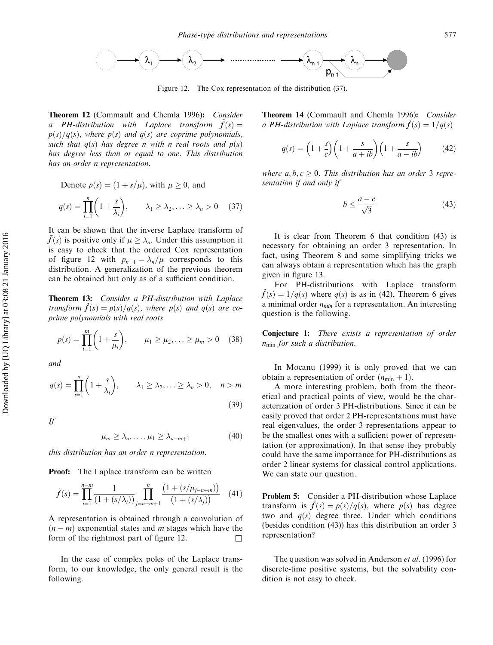

Figure 12. The Cox representation of the distribution (37).

Theorem 12 (Commault and Chemla 1996): Consider a PH-distribution with Laplace transform  $\hat{f}(s) =$  $p(s)/q(s)$ , where  $p(s)$  and  $q(s)$  are coprime polynomials, such that  $q(s)$  has degree n with n real roots and  $p(s)$ has degree less than or equal to one. This distribution has an order n representation.

Denote 
$$
p(s) = (1 + s/\mu)
$$
, with  $\mu \ge 0$ , and  
\n
$$
q(s) = \prod_{i=1}^{n} \left(1 + \frac{s}{\lambda_i}\right), \qquad \lambda_1 \ge \lambda_2, \ldots \ge \lambda_n > 0 \quad (37)
$$

It can be shown that the inverse Laplace transform of  $f(s)$  is positive only if  $\mu \geq \lambda_n$ . Under this assumption it is easy to check that the ordered Cox representation of figure 12 with  $p_{n-1} = \lambda_n / \mu$  corresponds to this distribution. A generalization of the previous theorem can be obtained but only as of a sufficient condition.

Theorem 13: Consider a PH-distribution with Laplace transform  $\tilde{f}(s) = p(s)/q(s)$ , where  $p(s)$  and  $q(s)$  are coprime polynomials with real roots

$$
p(s) = \prod_{i=1}^{m} \left( 1 + \frac{s}{\mu_i} \right), \qquad \mu_1 \ge \mu_2, \ldots \ge \mu_m > 0 \quad (38)
$$

and

$$
q(s) = \prod_{i=1}^{n} \left( 1 + \frac{s}{\lambda_i} \right), \qquad \lambda_1 \ge \lambda_2, \ldots \ge \lambda_n > 0, \quad n > m
$$
\n(39)

If

$$
\mu_m \ge \lambda_n, \dots, \mu_1 \ge \lambda_{n-m+1} \tag{40}
$$

this distribution has an order n representation.

Proof: The Laplace transform can be written

$$
\tilde{f}(s) = \prod_{i=1}^{n-m} \frac{1}{(1 + (s/\lambda_i))} \prod_{j=n-m+1}^{n} \frac{(1 + (s/\mu_{j-n+m}))}{(1 + (s/\lambda_j))} \quad (41)
$$

A representation is obtained through a convolution of  $(n-m)$  exponential states and m stages which have the form of the rightmost part of figure 12.  $\Box$ 

In the case of complex poles of the Laplace transform, to our knowledge, the only general result is the following.

Theorem 14 (Commault and Chemla 1996): Consider a PH-distribution with Laplace transform  $f(s) = 1/a(s)$ 

$$
q(s) = \left(1 + \frac{s}{c}\right)\left(1 + \frac{s}{a + ib}\right)\left(1 + \frac{s}{a - ib}\right) \tag{42}
$$

where  $a, b, c \geq 0$ . This distribution has an order 3 representation if and only if

$$
b \le \frac{a - c}{\sqrt{3}}\tag{43}
$$

It is clear from Theorem 6 that condition (43) is necessary for obtaining an order 3 representation. In fact, using Theorem 8 and some simplifying tricks we can always obtain a representation which has the graph given in figure 13.

For PH-distributions with Laplace transform  $\tilde{f}(s) = 1/q(s)$  where  $q(s)$  is as in (42), Theorem 6 gives a minimal order  $n_{min}$  for a representation. An interesting question is the following.

Conjecture 1: There exists a representation of order  $n_{\min}$  for such a distribution.

In Mocanu (1999) it is only proved that we can obtain a representation of order  $(n_{min} + 1)$ .

A more interesting problem, both from the theoretical and practical points of view, would be the characterization of order 3 PH-distributions. Since it can be easily proved that order 2 PH-representations must have real eigenvalues, the order 3 representations appear to be the smallest ones with a sufficient power of representation (or approximation). In that sense they probably could have the same importance for PH-distributions as order 2 linear systems for classical control applications. We can state our question.

Problem 5: Consider a PH-distribution whose Laplace transform is  $\hat{f}(s) = p(s)/q(s)$ , where  $p(s)$  has degree two and  $q(s)$  degree three. Under which conditions (besides condition (43)) has this distribution an order 3 representation?

The question was solved in Anderson et al. (1996) for discrete-time positive systems, but the solvability condition is not easy to check.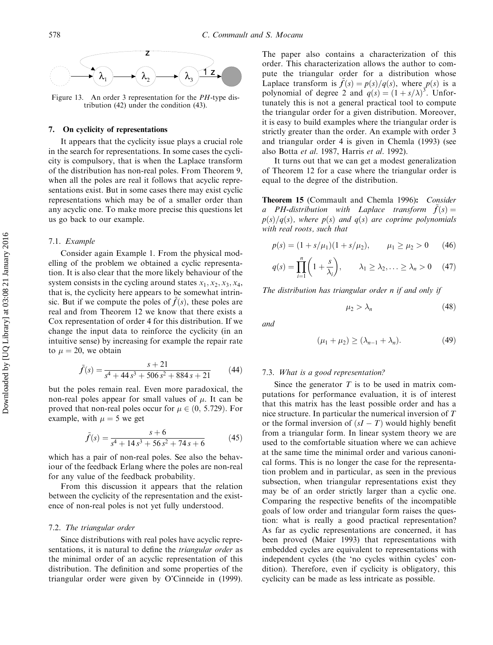

Figure 13. An order 3 representation for the *PH*-type distribution (42) under the condition (43).

## 7. On cyclicity of representations

It appears that the cyclicity issue plays a crucial role in the search for representations. In some cases the cyclicity is compulsory, that is when the Laplace transform of the distribution has non-real poles. From Theorem 9, when all the poles are real it follows that acyclic representations exist. But in some cases there may exist cyclic representations which may be of a smaller order than any acyclic one. To make more precise this questions let us go back to our example.

#### 7.1. Example

Consider again Example 1. From the physical modelling of the problem we obtained a cyclic representation. It is also clear that the more likely behaviour of the system consists in the cycling around states  $x_1, x_2, x_3, x_4$ , that is, the cyclicity here appears to be somewhat intrinsic. But if we compute the poles of  $\tilde{f}(s)$ , these poles are real and from Theorem 12 we know that there exists a Cox representation of order 4 for this distribution. If we change the input data to reinforce the cyclicity (in an intuitive sense) by increasing for example the repair rate to  $\mu = 20$ , we obtain

$$
\tilde{f}(s) = \frac{s+21}{s^4 + 44s^3 + 506s^2 + 884s + 21} \tag{44}
$$

but the poles remain real. Even more paradoxical, the non-real poles appear for small values of  $\mu$ . It can be proved that non-real poles occur for  $\mu \in (0, 5.729)$ . For example, with  $\mu = 5$  we get

$$
\tilde{f}(s) = \frac{s+6}{s^4 + 14s^3 + 56s^2 + 74s + 6} \tag{45}
$$

which has a pair of non-real poles. See also the behaviour of the feedback Erlang where the poles are non-real for any value of the feedback probability.

From this discussion it appears that the relation between the cyclicity of the representation and the existence of non-real poles is not yet fully understood.

#### 7.2. The triangular order

Since distributions with real poles have acyclic representations, it is natural to define the triangular order as the minimal order of an acyclic representation of this distribution. The definition and some properties of the triangular order were given by O'Cinneide in (1999). The paper also contains a characterization of this order. This characterization allows the author to compute the triangular order for a distribution whose Laplace transform is  $\tilde{f}(s) = p(s)/q(s)$ , where  $p(s)$  is a polynomial of degree 2 and  $q(s) = (1 + s/\lambda)^3$ . Unfortunately this is not a general practical tool to compute the triangular order for a given distribution. Moreover, it is easy to build examples where the triangular order is strictly greater than the order. An example with order 3 and triangular order 4 is given in Chemla (1993) (see also Botta et al. 1987, Harris et al. 1992).

It turns out that we can get a modest generalization of Theorem 12 for a case where the triangular order is equal to the degree of the distribution.

Theorem 15 (Commault and Chemla 1996): Consider a PH-distribution with Laplace transform  $f(s) =$  $p(s)/q(s)$ , where  $p(s)$  and  $q(s)$  are coprime polynomials with real roots, such that

$$
p(s) = (1 + s/\mu_1)(1 + s/\mu_2), \qquad \mu_1 \ge \mu_2 > 0 \qquad (46)
$$

$$
q(s) = \prod_{i=1}^{n} \left( 1 + \frac{s}{\lambda_i} \right), \qquad \lambda_1 \ge \lambda_2, \ldots \ge \lambda_n > 0 \quad (47)
$$

The distribution has triangular order n if and only if

$$
\mu_2 > \lambda_n \tag{48}
$$

and

$$
(\mu_1 + \mu_2) \ge (\lambda_{n-1} + \lambda_n). \tag{49}
$$

## 7.3. What is a good representation?

Since the generator  $T$  is to be used in matrix computations for performance evaluation, it is of interest that this matrix has the least possible order and has a nice structure. In particular the numerical inversion of T or the formal inversion of  $(sI - T)$  would highly benefit from a triangular form. In linear system theory we are used to the comfortable situation where we can achieve at the same time the minimal order and various canonical forms. This is no longer the case for the representation problem and in particular, as seen in the previous subsection, when triangular representations exist they may be of an order strictly larger than a cyclic one. Comparing the respective benefits of the incompatible goals of low order and triangular form raises the question: what is really a good practical representation? As far as cyclic representations are concerned, it has been proved (Maier 1993) that representations with embedded cycles are equivalent to representations with independent cycles (the 'no cycles within cycles' condition). Therefore, even if cyclicity is obligatory, this cyclicity can be made as less intricate as possible.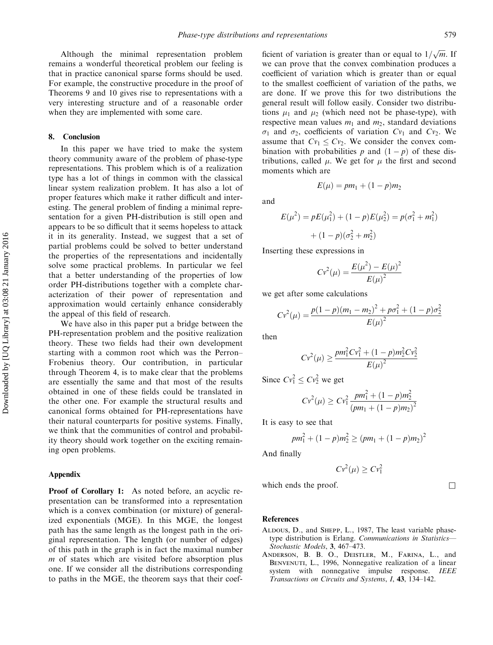Although the minimal representation problem remains a wonderful theoretical problem our feeling is that in practice canonical sparse forms should be used. For example, the constructive procedure in the proof of Theorems 9 and 10 gives rise to representations with a very interesting structure and of a reasonable order when they are implemented with some care.

#### 8. Conclusion

In this paper we have tried to make the system theory community aware of the problem of phase-type representations. This problem which is of a realization type has a lot of things in common with the classical linear system realization problem. It has also a lot of proper features which make it rather difficult and interesting. The general problem of finding a minimal representation for a given PH-distribution is still open and appears to be so difficult that it seems hopeless to attack it in its generality. Instead, we suggest that a set of partial problems could be solved to better understand the properties of the representations and incidentally solve some practical problems. In particular we feel that a better understanding of the properties of low order PH-distributions together with a complete characterization of their power of representation and approximation would certainly enhance considerably the appeal of this field of research.

We have also in this paper put a bridge between the PH-representation problem and the positive realization theory. These two fields had their own development starting with a common root which was the Perron– Frobenius theory. Our contribution, in particular through Theorem 4, is to make clear that the problems are essentially the same and that most of the results obtained in one of these fields could be translated in the other one. For example the structural results and canonical forms obtained for PH-representations have their natural counterparts for positive systems. Finally, we think that the communities of control and probability theory should work together on the exciting remaining open problems.

## Appendix

Proof of Corollary 1: As noted before, an acyclic representation can be transformed into a representation which is a convex combination (or mixture) of generalized exponentials (MGE). In this MGE, the longest path has the same length as the longest path in the original representation. The length (or number of edges) of this path in the graph is in fact the maximal number  $m$  of states which are visited before absorption plus one. If we consider all the distributions corresponding to paths in the MGE, the theorem says that their coef-

ficient of variation is greater than or equal to  $1/\sqrt{m}$ . If we can prove that the convex combination produces a coefficient of variation which is greater than or equal to the smallest coefficient of variation of the paths, we are done. If we prove this for two distributions the general result will follow easily. Consider two distributions  $\mu_1$  and  $\mu_2$  (which need not be phase-type), with respective mean values  $m_1$  and  $m_2$ , standard deviations  $\sigma_1$  and  $\sigma_2$ , coefficients of variation  $Cv_1$  and  $Cv_2$ . We assume that  $Cv_1 \leq Cv_2$ . We consider the convex combination with probabilities p and  $(1 - p)$  of these distributions, called  $\mu$ . We get for  $\mu$  the first and second moments which are

and

$$
E(\mu^2) = pE(\mu_1^2) + (1 - p)E(\mu_2^2) = p(\sigma_1^2 + m_1^2)
$$

$$
+ (1 - p)(\sigma_2^2 + m_2^2)
$$

 $E(\mu) = pm_1 + (1 - p)m_2$ 

Inserting these expressions in

$$
Cv^{2}(\mu) = \frac{E(\mu^{2}) - E(\mu)^{2}}{E(\mu)^{2}}
$$

we get after some calculations

$$
Cv^{2}(\mu) = \frac{p(1-p)(m_{1} - m_{2})^{2} + p\sigma_{1}^{2} + (1-p)\sigma_{2}^{2}}{E(\mu)^{2}}
$$

then

$$
Cv^{2}(\mu) \ge \frac{pm_{1}^{2}Cv_{1}^{2} + (1-p)m_{2}^{2}Cv_{2}^{2}}{E(\mu)^{2}}
$$

Since  $Cv_1^2 \leq Cv_2^2$  we get

$$
Cv^{2}(\mu) \geq Cv_{1}^{2} \frac{pm_{1}^{2} + (1-p)m_{2}^{2}}{(pm_{1} + (1-p)m_{2})^{2}}
$$

It is easy to see that

$$
pm_1^2 + (1-p)m_2^2 \ge (pm_1 + (1-p)m_2)^2
$$

And finally

$$
Cv^2(\mu) \geq Cv_1^2
$$

which ends the proof.  $\Box$ 

#### References

- ALDOUS, D., and SHEPP, L., 1987, The least variable phasetype distribution is Erlang. Communications in Statistics-Stochastic Models, 3, 467–473.
- Anderson, B. B. O., Deistler, M., Farina, L., and BENVENUTI, L., 1996, Nonnegative realization of a linear system with nonnegative impulse response. IEEE Transactions on Circuits and Systems, I, 43, 134–142.